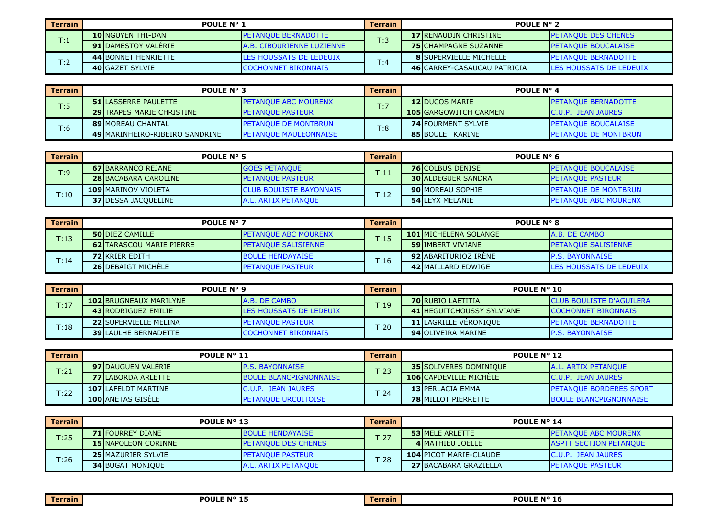| <b>Terrain</b>        | <b>POULE N° 1</b>           |                                   | <b>Terrain</b> | <b>POULE N° 2</b>                   |                                 |
|-----------------------|-----------------------------|-----------------------------------|----------------|-------------------------------------|---------------------------------|
| $\mathsf{T}\text{:}1$ | <b>10 INGUYEN THI-DAN</b>   | <b>IPETANOUE BERNADOTTE</b>       | T:3            | <b>17 IRENAUDIN CHRISTINE</b>       | <b>PETANOUE DES CHENES</b>      |
|                       | <b>91 IDAMESTOY VALERIE</b> | <b>JA.B. CIBOURIENNE LUZIENNE</b> |                | <b>75 CHAMPAGNE SUZANNE</b>         | <b>PETANOUE BOUCALAISE</b>      |
| T:2                   | <b>44 BONNET HENRIETTE</b>  | LES HOUSSATS DE LEDEUIX           | T:4            | <b>8 ISUPERVIELLE MICHELLE</b>      | <b>PETANOUE BERNADOTTE</b>      |
|                       | <b>40 GAZET SYLVIE</b>      | <b>COCHONNET BIRONNAIS</b>        |                | <b>46 ICARREY-CASAUCAU PATRICIA</b> | <b>ILES HOUSSATS DE LEDEUIX</b> |

| Terrain | <b>POULE N° 3</b>                |                               | Terrain | <b>POULE N° 4</b>            |                              |
|---------|----------------------------------|-------------------------------|---------|------------------------------|------------------------------|
| T:5     | <b>51 ILASSERRE PAULETTE</b>     | <b>IPETANOUE ABC MOURENX</b>  | T:7     | <b>12 DUCOS MARIE</b>        | <b>PETANOUE BERNADOTTE</b>   |
|         | <b>29 TRAPES MARIE CHRISTINE</b> | <b>IPETANOUE PASTEUR</b>      |         | <b>105 GARGOWITCH CARMEN</b> | <b>IC.U.P. JEAN JAURES</b>   |
| T:6     | <b>89 MOREAU CHANTAL</b>         | <b>IPETANOUE DE MONTBRUN</b>  | T:8     | <b>74 FOURMENT SYLVIE</b>    | <b>PETANOUE BOUCALAISE</b>   |
|         | 49 MARINHEIRO-RIBEIRO SANDRINE   | <b>IPETANOUE MAULEONNAISE</b> |         | <b>85 BOULET KARINE</b>      | <b>IPETANOUE DE MONTBRUN</b> |

| <b>Terrain</b> | POULE $N^{\circ}$ 5         |                                 | <b>Terrain</b> | POULE $N^{\circ}$ 6       |                              |
|----------------|-----------------------------|---------------------------------|----------------|---------------------------|------------------------------|
| T:9            | <b>67 BARRANCO REJANE</b>   | <b>IGOES PETANOUE</b>           | T:11           | <b>76 COLBUS DENISE</b>   | <b>I PETANOUE BOUCALAISE</b> |
|                | <b>28 BACABARA CAROLINE</b> | <b>IPETANOUE PASTEUR</b>        |                | <b>30 ALDEGUER SANDRA</b> | <b>IPETANOUE PASTEUR</b>     |
| T:10           | <b>109 MARINOV VIOLETA</b>  | <b>ICLUB BOULISTE BAYONNAIS</b> | T:12           | <b>90 MOREAU SOPHIE</b>   | <b>PETANQUE DE MONTBRUN</b>  |
|                | <b>37 IDESSA JACOUELINE</b> | A.L. ARTIX PETANOUE             |                | <b>54 LEYX MELANIE</b>    | <b>IPETANOUE ABC MOURENX</b> |

| <b>Terrain</b> | <b>POULE N° 7</b>               |                              | Terrain | <b>POULE N° 8</b>             |                             |
|----------------|---------------------------------|------------------------------|---------|-------------------------------|-----------------------------|
| T:13           | <b>50 DIEZ CAMILLE</b>          | <b>IPETANOUE ABC MOURENX</b> | T:15    | <b>101 IMICHELENA SOLANGE</b> | <b>A.B. DE CAMBO</b>        |
|                | <b>62ITARASCOU MARIE PIERRE</b> | <b>IPETANOUE SALISIENNE</b>  |         | <b>59 IIMBERT VIVIANE</b>     | <b>IPETANOUE SALISIENNE</b> |
| T:14           | <b>72 KRIER EDITH</b>           | <b>BOULE HENDAYAISE</b>      | T:16    | <b>92 ABARITURIOZ IRENE</b>   | <b>IP.S. BAYONNAISE</b>     |
|                | <b>26 DEBAIGT MICHELE</b>       | <b>IPETANOUE PASTEUR</b>     |         | 42 MAILLARD EDWIGE            | LES HOUSSATS DE LEDEUIX     |

| Terrain | <b>POULE N° 9</b>             |                                | Terrain | <b>POULE N° 10</b>                |                                  |
|---------|-------------------------------|--------------------------------|---------|-----------------------------------|----------------------------------|
| T:17    | <b>102 BRUGNEAUX MARILYNE</b> | IA.B. DE CAMBO                 | T:19    | <b>70 RUBIO LAETITIA</b>          | <b>ICLUB BOULISTE D'AGUILERA</b> |
|         | <b>43 RODRIGUEZ EMILIE</b>    | <b>LES HOUSSATS DE LEDEUIX</b> |         | <b>41 IHEGUITCHOUSSY SYLVIANE</b> | <b>ICOCHONNET BIRONNAIS</b>      |
|         | <b>22 SUPERVIELLE MELINA</b>  | <b>PETANOUE PASTEUR</b>        | T:20    | <b>11 ILAGRILLE VERONIOUE</b>     | <b>IPETANOUE BERNADOTTE</b>      |
| T:18    | <b>39 ILAULHE BERNADETTE</b>  | <b>COCHONNET BIRONNAIS</b>     |         | <b>94 OLIVEIRA MARINE</b>         | <b>P.S. BAYONNAISE</b>           |

| <b>Terrain</b> | <b>POULE N° 11</b>         |                               | Terrain | <b>POULE N° 12</b>            |                                 |
|----------------|----------------------------|-------------------------------|---------|-------------------------------|---------------------------------|
| T:21           | <b>97IDAUGUEN VALERIE</b>  | <b>IP.S. BAYONNAISE</b>       | T:23    | <b>35 SOLIVERES DOMINIQUE</b> | <b>JA.L. ARTIX PETANOUE</b>     |
|                | <b>77 LABORDA ARLETTE</b>  | <b>BOULE BLANCPIGNONNAISE</b> |         | <b>106 CAPDEVILLE MICHELE</b> | <b>IC.U.P. JEAN JAURES</b>      |
| T:22           | <b>107 LAFELDT MARTINE</b> | <b>IC.U.P. JEAN JAURES</b>    | T:24    | <b>13 PERLACIA EMMA</b>       | <b>IPETANOUE BORDERES SPORT</b> |
|                | <b>100 ANETAS GISELE</b>   | <b>IPETANOUE URCUITOISE</b>   |         | <b>78 MILLOT PIERRETTE</b>    | <b>BOULE BLANCPIGNONNAISE</b>   |

| l Terrain | POULE $N^{\circ}$ 13       |                            | <b>Terrain</b>                                                                | <b>POULE N° 14</b>        |                               |
|-----------|----------------------------|----------------------------|-------------------------------------------------------------------------------|---------------------------|-------------------------------|
| T:25      | <b>71 FOURREY DIANE</b>    | <b>BOULE HENDAYAISE</b>    |                                                                               | <b>53 MELE ARLETTE</b>    | <b>IPETANOUE ABC MOURENX</b>  |
|           | <b>15 NAPOLEON CORINNE</b> | <b>PETANOUE DES CHENES</b> |                                                                               | <b>4 IMATHIEU JOELLE</b>  | <b>ASPTT SECTION PETANOUE</b> |
| T:26      | <b>25 MAZURIER SYLVIE</b>  | <b>I PETANOUE PASTEUR</b>  | T:27<br><b>104 PICOT MARIE-CLAUDE</b><br>T:28<br><b>27 BACABARA GRAZIELLA</b> |                           | <b>IC.U.P. JEAN JAURES</b>    |
|           | <b>34 BUGAT MONIOUE</b>    | A.L. ARTIX PETANOUE        |                                                                               | <b>I PETANOUE PASTEUR</b> |                               |

| --<br><b>Terrain</b> | <b>POULE N° 15</b><br>. | Terrain. | POULE Nº 16 |
|----------------------|-------------------------|----------|-------------|
|                      |                         |          |             |